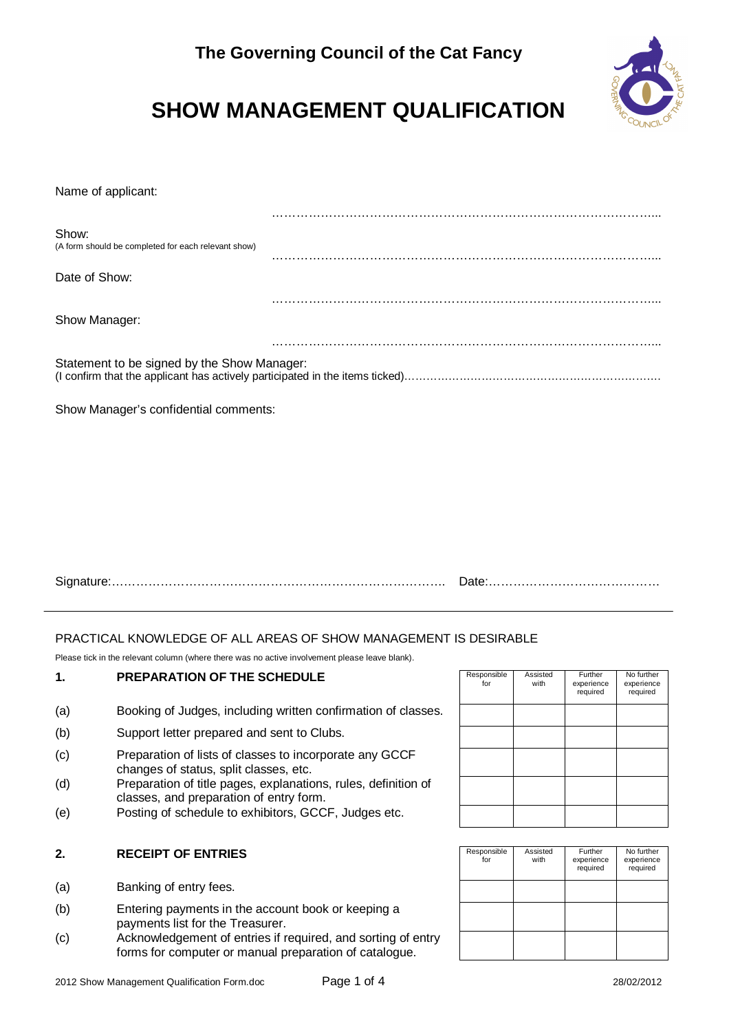

# **SHOW MANAGEMENT QUALIFICATION**

Name of applicant:

| Show:<br>(A form should be completed for each relevant show) |  |
|--------------------------------------------------------------|--|
| Date of Show:                                                |  |
|                                                              |  |
| Show Manager:                                                |  |
|                                                              |  |
| Statement to be signed by the Show Manager:                  |  |

Show Manager's confidential comments:

| $\overline{\phantom{a}}$<br>. LUI Loccoccione de la componentación de la componentación de la componentación de la componeción de la compo |  |
|--------------------------------------------------------------------------------------------------------------------------------------------|--|
|--------------------------------------------------------------------------------------------------------------------------------------------|--|

#### PRACTICAL KNOWLEDGE OF ALL AREAS OF SHOW MANAGEMENT IS DESIRABLE

Please tick in the relevant column (where there was no active involvement please leave blank).

#### 1. **PREPARATION OF THE SCHEDULE**

- (a) Booking of Judges, including written confirmation of classes.
- (b) Support letter prepared and sent to Clubs.
- (c) Preparation of lists of classes to incorporate any GCCF changes of status, split classes, etc.
- (d) Preparation of title pages, explanations, rules, definition of classes, and preparation of entry form.
- (e) Posting of schedule to exhibitors, GCCF, Judges etc.

#### 2. RECEIPT OF ENTRIES

- (a) Banking of entry fees.
- (b) Entering payments in the account book or keeping a payments list for the Treasurer.
- (c) Acknowledgement of entries if required, and sorting of entry forms for computer or manual preparation of catalogue.

| Responsible<br>for | Assisted<br>with | Further<br>experience<br>required | No further<br>experience<br>required |
|--------------------|------------------|-----------------------------------|--------------------------------------|
|                    |                  |                                   |                                      |
|                    |                  |                                   |                                      |
|                    |                  |                                   |                                      |
|                    |                  |                                   |                                      |
|                    |                  |                                   |                                      |

| Responsible<br>for | Assisted<br>with | Further<br>experience<br>required | No further<br>experience<br>required |
|--------------------|------------------|-----------------------------------|--------------------------------------|
|                    |                  |                                   |                                      |
|                    |                  |                                   |                                      |
|                    |                  |                                   |                                      |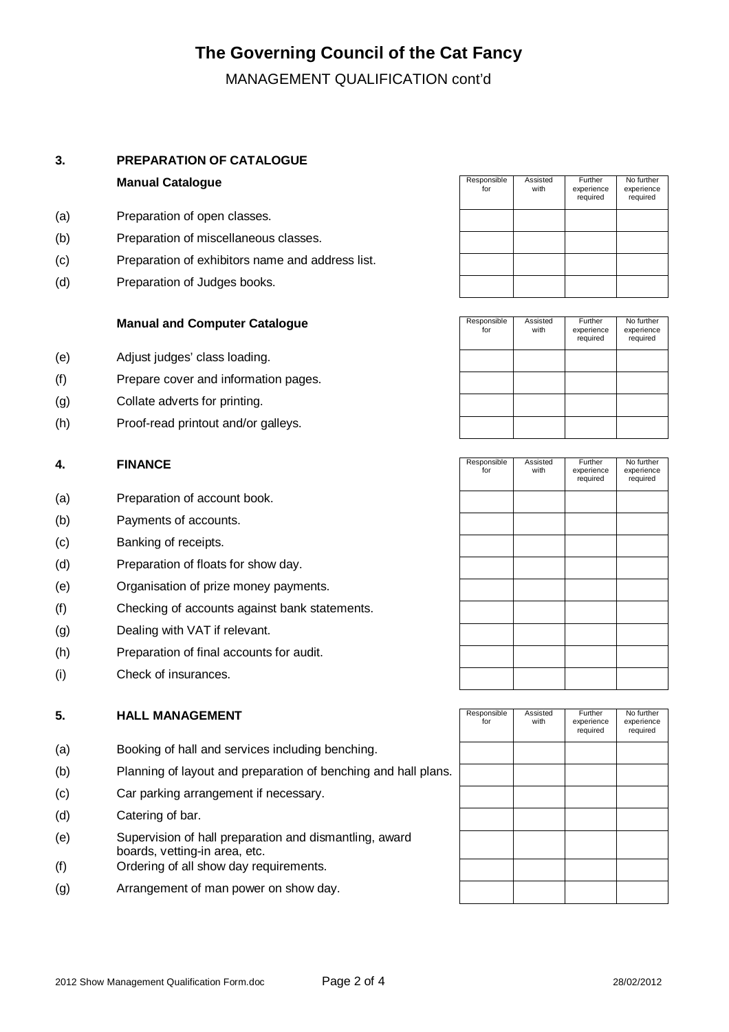### **The Governing Council of the Cat Fancy**

MANAGEMENT QUALIFICATION cont'd

#### **3. PREPARATION OF CATALOGUE**

#### **Manual Catalogue**

- (a) Preparation of open classes.
- (b) Preparation of miscellaneous classes.
- (c) Preparation of exhibitors name and address list.
- (d) Preparation of Judges books.

#### **Manual and Computer Catalogue**

- (e) Adjust judges' class loading.
- (f) Prepare cover and information pages.
- (g) Collate adverts for printing.
- (h) Proof-read printout and/or galleys.

#### **4.** FINANCE

- (a) Preparation of account book.
- (b) Payments of accounts.
- (c) Banking of receipts.
- (d) Preparation of floats for show day.
- (e) Organisation of prize money payments.
- (f) Checking of accounts against bank statements.
- (g) Dealing with VAT if relevant.
- (h) Preparation of final accounts for audit.
- (i) Check of insurances.

#### **5.** HALL MANAGEMENT

- (a) Booking of hall and services including benching.
- (b) Planning of layout and preparation of benching and hall plans.
- (c) Car parking arrangement if necessary.
- (d) Catering of bar.
- (e) Supervision of hall preparation and dismantling, award boards, vetting-in area, etc.
- (f) Ordering of all show day requirements.
- (g) Arrangement of man power on show day.

| Responsible<br>for | Assisted<br>with | Further<br>experience<br>required | No further<br>experience<br>required |
|--------------------|------------------|-----------------------------------|--------------------------------------|
|                    |                  |                                   |                                      |
|                    |                  |                                   |                                      |
|                    |                  |                                   |                                      |
|                    |                  |                                   |                                      |

| Responsible<br>for | Assisted<br>with | Further<br>experience<br>required | No further<br>experience<br>required |
|--------------------|------------------|-----------------------------------|--------------------------------------|
|                    |                  |                                   |                                      |
|                    |                  |                                   |                                      |
|                    |                  |                                   |                                      |
|                    |                  |                                   |                                      |

| Responsible<br>for | Assisted<br>with | Further<br>experience<br>required | No further<br>experience<br>required |
|--------------------|------------------|-----------------------------------|--------------------------------------|
|                    |                  |                                   |                                      |
|                    |                  |                                   |                                      |
|                    |                  |                                   |                                      |
|                    |                  |                                   |                                      |
|                    |                  |                                   |                                      |
|                    |                  |                                   |                                      |
|                    |                  |                                   |                                      |
|                    |                  |                                   |                                      |
|                    |                  |                                   |                                      |

| Responsible<br>for | Assisted<br>with | Further<br>experience<br>required | No further<br>experience<br>required |
|--------------------|------------------|-----------------------------------|--------------------------------------|
|                    |                  |                                   |                                      |
|                    |                  |                                   |                                      |
|                    |                  |                                   |                                      |
|                    |                  |                                   |                                      |
|                    |                  |                                   |                                      |
|                    |                  |                                   |                                      |
|                    |                  |                                   |                                      |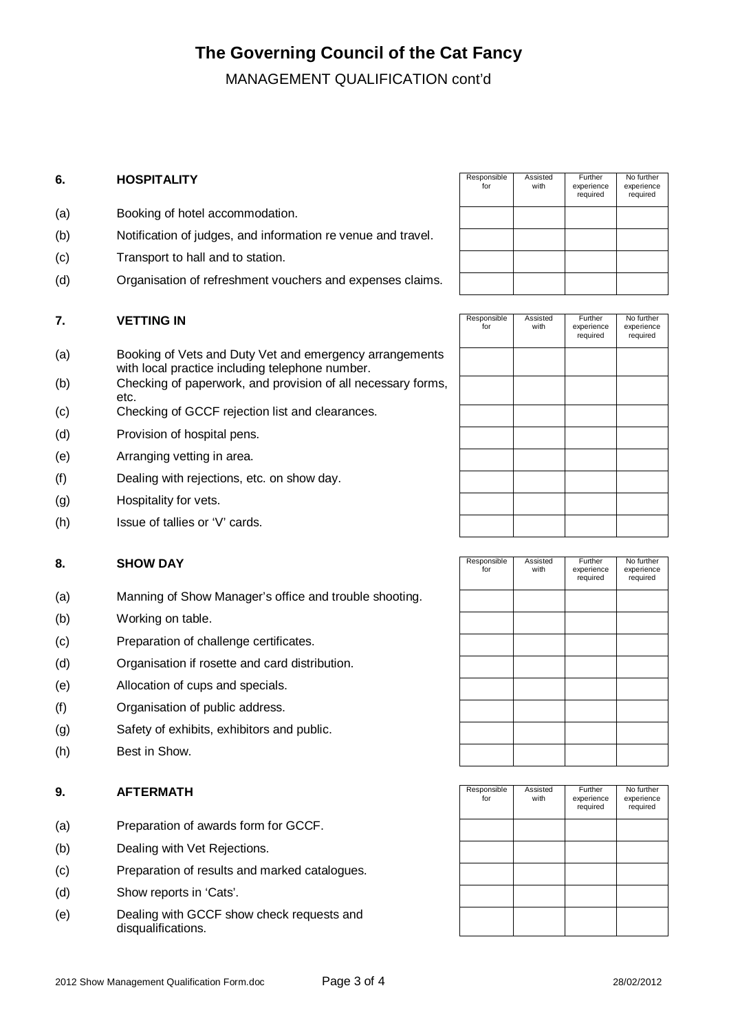### **The Governing Council of the Cat Fancy**

MANAGEMENT QUALIFICATION cont'd

#### **6.** HOSPITALITY

- (a) Booking of hotel accommodation.
- (b) Notification of judges, and information re venue and travel.
- (c) Transport to hall and to station.
- (d) Organisation of refreshment vouchers and expenses claims.

#### **7. VETTING IN**

- (a) Booking of Vets and Duty Vet and emergency arrangements with local practice including telephone number.
- (b) Checking of paperwork, and provision of all necessary forms, etc.
- (c) Checking of GCCF rejection list and clearances.
- (d) Provision of hospital pens.
- (e) Arranging vetting in area.
- (f) Dealing with rejections, etc. on show day.
- (g) Hospitality for vets.
- (h) Issue of tallies or 'V' cards.

#### 8. **SHOW DAY**

- (a) Manning of Show Manager's office and trouble shooting.
- (b) Working on table.
- (c) Preparation of challenge certificates.
- (d) Organisation if rosette and card distribution.
- (e) Allocation of cups and specials.
- (f) Organisation of public address.
- (g) Safety of exhibits, exhibitors and public.
- (h) Best in Show.

#### **9. AFTERMATH**

- (a) Preparation of awards form for GCCF.
- (b) Dealing with Vet Rejections.
- (c) Preparation of results and marked catalogues.
- (d) Show reports in 'Cats'.
- (e) Dealing with GCCF show check requests and disqualifications.

| Responsible<br>for | Assisted<br>with | Further<br>experience<br>required | No further<br>experience<br>required |
|--------------------|------------------|-----------------------------------|--------------------------------------|
|                    |                  |                                   |                                      |
|                    |                  |                                   |                                      |
|                    |                  |                                   |                                      |
|                    |                  |                                   |                                      |

| Responsible<br>for | Assisted<br>with | Further<br>experience<br>required | No further<br>experience<br>required |
|--------------------|------------------|-----------------------------------|--------------------------------------|
|                    |                  |                                   |                                      |
|                    |                  |                                   |                                      |
|                    |                  |                                   |                                      |
|                    |                  |                                   |                                      |
|                    |                  |                                   |                                      |
|                    |                  |                                   |                                      |
|                    |                  |                                   |                                      |
|                    |                  |                                   |                                      |

| Responsible<br>for | Assisted<br>with | Further<br>experience<br>required | No further<br>experience<br>required |
|--------------------|------------------|-----------------------------------|--------------------------------------|
|                    |                  |                                   |                                      |
|                    |                  |                                   |                                      |
|                    |                  |                                   |                                      |
|                    |                  |                                   |                                      |
|                    |                  |                                   |                                      |
|                    |                  |                                   |                                      |
|                    |                  |                                   |                                      |
|                    |                  |                                   |                                      |

| Responsible<br>for | Assisted<br>with | Further<br>experience<br>required | No further<br>experience<br>required |
|--------------------|------------------|-----------------------------------|--------------------------------------|
|                    |                  |                                   |                                      |
|                    |                  |                                   |                                      |
|                    |                  |                                   |                                      |
|                    |                  |                                   |                                      |
|                    |                  |                                   |                                      |